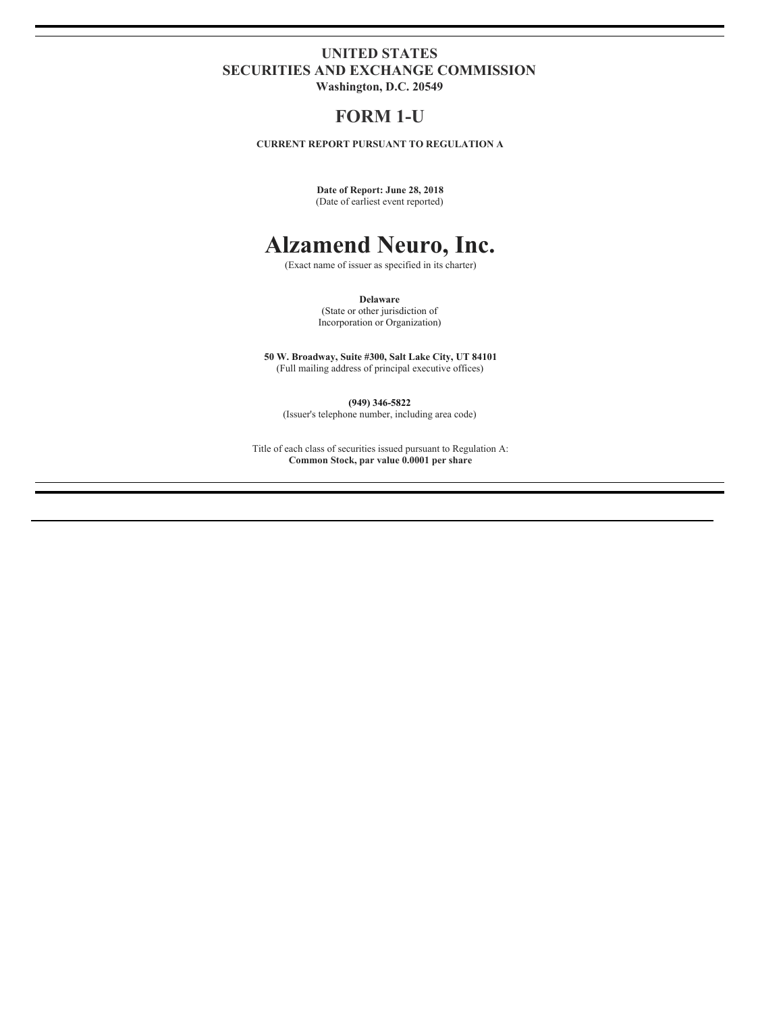## **UNITED STATES SECURITIES AND EXCHANGE COMMISSION**

**Washington, D.C. 20549**

## **FORM 1-U**

**CURRENT REPORT PURSUANT TO REGULATION A**

**Date of Report: June 28, 2018** (Date of earliest event reported)

## **Alzamend Neuro, Inc.**

(Exact name of issuer as specified in its charter)

**Delaware**

(State or other jurisdiction of Incorporation or Organization)

**50 W. Broadway, Suite #300, Salt Lake City, UT 84101** (Full mailing address of principal executive offices)

**(949) 346-5822**

(Issuer's telephone number, including area code)

Title of each class of securities issued pursuant to Regulation A: **Common Stock, par value 0.0001 per share**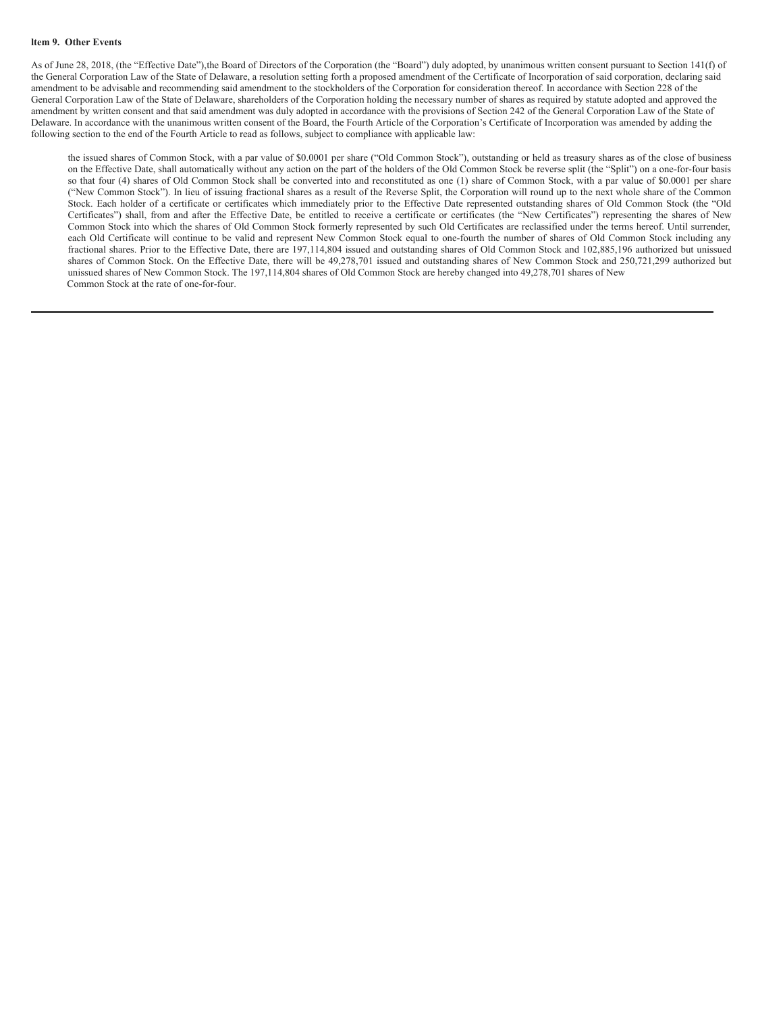As of June 28, 2018, (the "Effective Date"),the Board of Directors of the Corporation (the "Board") duly adopted, by unanimous written consent pursuant to Section 141(f) of the General Corporation Law of the State of Delaware, a resolution setting forth a proposed amendment of the Certificate of Incorporation of said corporation, declaring said amendment to be advisable and recommending said amendment to the stockholders of the Corporation for consideration thereof. In accordance with Section 228 of the General Corporation Law of the State of Delaware, shareholders of the Corporation holding the necessary number of shares as required by statute adopted and approved the amendment by written consent and that said amendment was duly adopted in accordance with the provisions of Section 242 of the General Corporation Law of the State of Delaware. In accordance with the unanimous written consent of the Board, the Fourth Article of the Corporation's Certificate of Incorporation was amended by adding the following section to the end of the Fourth Article to read as follows, subject to compliance with applicable law:

the issued shares of Common Stock, with a par value of \$0.0001 per share ("Old Common Stock"), outstanding or held as treasury shares as of the close of business on the Effective Date, shall automatically without any action on the part of the holders of the Old Common Stock be reverse split (the "Split") on a one-for-four basis so that four (4) shares of Old Common Stock shall be converted into and reconstituted as one (1) share of Common Stock, with a par value of \$0.0001 per share ("New Common Stock"). In lieu of issuing fractional shares as a result of the Reverse Split, the Corporation will round up to the next whole share of the Common Stock. Each holder of a certificate or certificates which immediately prior to the Effective Date represented outstanding shares of Old Common Stock (the "Old Certificates") shall, from and after the Effective Date, be entitled to receive a certificate or certificates (the "New Certificates") representing the shares of New Common Stock into which the shares of Old Common Stock formerly represented by such Old Certificates are reclassified under the terms hereof. Until surrender, each Old Certificate will continue to be valid and represent New Common Stock equal to one-fourth the number of shares of Old Common Stock including any fractional shares. Prior to the Effective Date, there are 197,114,804 issued and outstanding shares of Old Common Stock and 102,885,196 authorized but unissued shares of Common Stock. On the Effective Date, there will be 49,278,701 issued and outstanding shares of New Common Stock and 250,721,299 authorized but unissued shares of New Common Stock. The 197,114,804 shares of Old Common Stock are hereby changed into 49,278,701 shares of New Common Stock at the rate of one-for-four.